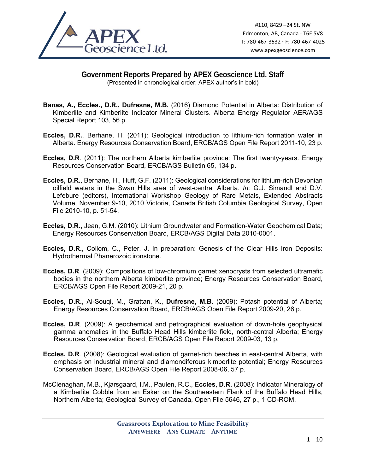

## **Government Reports Prepared by APEX Geoscience Ltd. Staff**  (Presented in chronological order; APEX author's in bold)

- **Banas, A., Eccles., D.R., Dufresne, M.B.** (2016) Diamond Potential in Alberta: Distribution of Kimberlite and Kimberlite Indicator Mineral Clusters. Alberta Energy Regulator AER/AGS Special Report 103, 56 p.
- **Eccles, D.R.**, Berhane, H. (2011): Geological introduction to lithium-rich formation water in Alberta. Energy Resources Conservation Board, ERCB/AGS Open File Report 2011-10, 23 p.
- **Eccles, D.R**. (2011): The northern Alberta kimberlite province: The first twenty-years. Energy Resources Conservation Board, ERCB/AGS Bulletin 65, 134 p.
- **Eccles, D.R.**, Berhane, H., Huff, G.F. (2011): Geological considerations for lithium-rich Devonian oilfield waters in the Swan Hills area of west-central Alberta. *In:* G.J. Simandl and D.V. Lefebure (editors), International Workshop Geology of Rare Metals, Extended Abstracts Volume, November 9-10, 2010 Victoria, Canada British Columbia Geological Survey, Open File 2010-10, p. 51-54.
- **Eccles, D.R.**, Jean, G.M. (2010): Lithium Groundwater and Formation-Water Geochemical Data; Energy Resources Conservation Board, ERCB/AGS Digital Data 2010-0001.
- **Eccles, D.R.**, Collom, C., Peter, J. In preparation: Genesis of the Clear Hills Iron Deposits: Hydrothermal Phanerozoic ironstone.
- **Eccles, D.R**. (2009): Compositions of low-chromium garnet xenocrysts from selected ultramafic bodies in the northern Alberta kimberlite province; Energy Resources Conservation Board, ERCB/AGS Open File Report 2009-21, 20 p.
- **Eccles, D.R.**, Al-Souqi, M., Grattan, K., **Dufresne, M.B**. (2009): Potash potential of Alberta; Energy Resources Conservation Board, ERCB/AGS Open File Report 2009-20, 26 p.
- **Eccles, D.R**. (2009): A geochemical and petrographical evaluation of down-hole geophysical gamma anomalies in the Buffalo Head Hills kimberlite field, north-central Alberta; Energy Resources Conservation Board, ERCB/AGS Open File Report 2009-03, 13 p.
- **Eccles, D.R**. (2008): Geological evaluation of garnet-rich beaches in east-central Alberta, with emphasis on industrial mineral and diamondiferous kimberlite potential; Energy Resources Conservation Board, ERCB/AGS Open File Report 2008-06, 57 p.
- McClenaghan, M.B., Kjarsgaard, I.M., Paulen, R.C., **Eccles, D.R.** (2008): Indicator Mineralogy of a Kimberlite Cobble from an Esker on the Southeastern Flank of the Buffalo Head Hills, Northern Alberta; Geological Survey of Canada, Open File 5646, 27 p., 1 CD-ROM.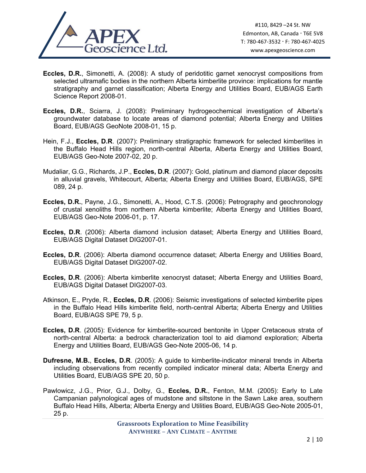

- **Eccles, D.R.**, Simonetti, A. (2008): A study of peridotitic garnet xenocryst compositions from selected ultramafic bodies in the northern Alberta kimberlite province: implications for mantle stratigraphy and garnet classification; Alberta Energy and Utilities Board, EUB/AGS Earth Science Report 2008-01.
- **Eccles, D.R.**, Sciarra, J. (2008): Preliminary hydrogeochemical investigation of Alberta's groundwater database to locate areas of diamond potential; Alberta Energy and Utilities Board, EUB/AGS GeoNote 2008-01, 15 p.
- Hein, F.J., **Eccles, D.R**. (2007): Preliminary stratigraphic framework for selected kimberlites in the Buffalo Head Hills region, north-central Alberta, Alberta Energy and Utilities Board, EUB/AGS Geo-Note 2007-02, 20 p.
- Mudaliar, G.G., Richards, J.P., **Eccles, D.R**. (2007): Gold, platinum and diamond placer deposits in alluvial gravels, Whitecourt, Alberta; Alberta Energy and Utilities Board, EUB/AGS, SPE 089, 24 p.
- **Eccles, D.R.**, Payne, J.G., Simonetti, A., Hood, C.T.S. (2006): Petrography and geochronology of crustal xenoliths from northern Alberta kimberlite; Alberta Energy and Utilities Board, EUB/AGS Geo-Note 2006-01, p. 17.
- **Eccles, D.R**. (2006): Alberta diamond inclusion dataset; Alberta Energy and Utilities Board, EUB/AGS Digital Dataset DIG2007-01.
- **Eccles, D.R**. (2006): Alberta diamond occurrence dataset; Alberta Energy and Utilities Board, EUB/AGS Digital Dataset DIG2007-02.
- **Eccles, D.R**. (2006): Alberta kimberlite xenocryst dataset; Alberta Energy and Utilities Board, EUB/AGS Digital Dataset DIG2007-03.
- Atkinson, E., Pryde, R., **Eccles, D.R**. (2006): Seismic investigations of selected kimberlite pipes in the Buffalo Head Hills kimberlite field, north-central Alberta; Alberta Energy and Utilities Board, EUB/AGS SPE 79, 5 p.
- **Eccles, D.R**. (2005): Evidence for kimberlite-sourced bentonite in Upper Cretaceous strata of north-central Alberta: a bedrock characterization tool to aid diamond exploration; Alberta Energy and Utilities Board, EUB/AGS Geo-Note 2005-06, 14 p.
- **Dufresne, M.B.**, **Eccles, D.R**. (2005): A guide to kimberlite-indicator mineral trends in Alberta including observations from recently compiled indicator mineral data; Alberta Energy and Utilities Board, EUB/AGS SPE 20, 50 p.
- Pawlowicz, J.G., Prior, G.J., Dolby, G., **Eccles, D.R.**, Fenton, M.M. (2005): Early to Late Campanian palynological ages of mudstone and siltstone in the Sawn Lake area, southern Buffalo Head Hills, Alberta; Alberta Energy and Utilities Board, EUB/AGS Geo-Note 2005-01, 25 p.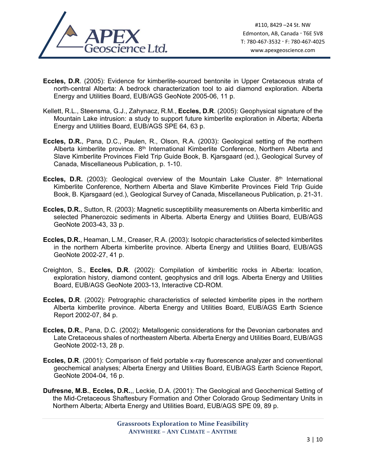

- **Eccles, D.R**. (2005): Evidence for kimberlite-sourced bentonite in Upper Cretaceous strata of north-central Alberta: A bedrock characterization tool to aid diamond exploration. Alberta Energy and Utilities Board, EUB/AGS GeoNote 2005-06, 11 p.
- Kellett, R.L., Steensma, G.J., Zahynacz, R.M., **Eccles, D.R**. (2005): Geophysical signature of the Mountain Lake intrusion: a study to support future kimberlite exploration in Alberta; Alberta Energy and Utilities Board, EUB/AGS SPE 64, 63 p.
- **Eccles, D.R.**, Pana, D.C., Paulen, R., Olson, R.A. (2003): Geological setting of the northern Alberta kimberlite province. 8<sup>th</sup> International Kimberlite Conference, Northern Alberta and Slave Kimberlite Provinces Field Trip Guide Book, B. Kjarsgaard (ed.), Geological Survey of Canada, Miscellaneous Publication, p. 1-10.
- **Eccles, D.R.** (2003): Geological overview of the Mountain Lake Cluster. 8<sup>th</sup> International Kimberlite Conference, Northern Alberta and Slave Kimberlite Provinces Field Trip Guide Book, B. Kjarsgaard (ed.), Geological Survey of Canada, Miscellaneous Publication, p. 21-31.
- **Eccles, D.R.**, Sutton, R. (2003): Magnetic susceptibility measurements on Alberta kimberlitic and selected Phanerozoic sediments in Alberta. Alberta Energy and Utilities Board, EUB/AGS GeoNote 2003-43, 33 p.
- **Eccles, D.R.**, Heaman, L.M., Creaser, R.A. (2003): Isotopic characteristics of selected kimberlites in the northern Alberta kimberlite province. Alberta Energy and Utilities Board, EUB/AGS GeoNote 2002-27, 41 p.
- Creighton, S., **Eccles, D.R**. (2002): Compilation of kimberlitic rocks in Alberta: location, exploration history, diamond content, geophysics and drill logs. Alberta Energy and Utilities Board, EUB/AGS GeoNote 2003-13, Interactive CD-ROM.
- **Eccles, D.R**. (2002): Petrographic characteristics of selected kimberlite pipes in the northern Alberta kimberlite province. Alberta Energy and Utilities Board, EUB/AGS Earth Science Report 2002-07, 84 p.
- **Eccles, D.R.**, Pana, D.C. (2002): Metallogenic considerations for the Devonian carbonates and Late Cretaceous shales of northeastern Alberta. Alberta Energy and Utilities Board, EUB/AGS GeoNote 2002-13, 28 p.
- **Eccles, D.R**. (2001): Comparison of field portable x-ray fluorescence analyzer and conventional geochemical analyses; Alberta Energy and Utilities Board, EUB/AGS Earth Science Report, GeoNote 2004-04, 16 p.
- **Dufresne, M.B.**, **Eccles, D.R.**,, Leckie, D.A. (2001): The Geological and Geochemical Setting of the Mid-Cretaceous Shaftesbury Formation and Other Colorado Group Sedimentary Units in Northern Alberta; Alberta Energy and Utilities Board, EUB/AGS SPE 09, 89 p.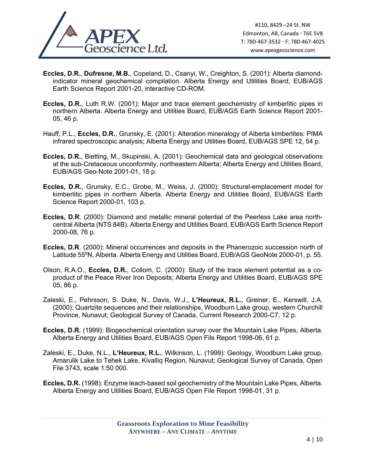

- **Eccles, D.R.**, **Dufresne, M.B.**, Copeland, D., Csanyi, W., Creighton, S. (2001): Alberta diamondindicator mineral geochemical compilation. Alberta Energy and Utilities Board, EUB/AGS Earth Science Report 2001-20, interactive CD-ROM.
- **Eccles, D.R.**, Luth R.W. (2001): Major and trace element geochemistry of kimberlitic pipes in northern Alberta. Alberta Energy and Utilities Board, EUB/AGS Earth Science Report 2001- 05, 46 p.
- Hauff, P.L., **Eccles, D.R.**, Grunsky, E. (2001): Alteration mineralogy of Alberta kimberlites: PIMA infrared spectroscopic analysis; Alberta Energy and Utilities Board, EUB/AGS SPE 12, 54 p.
- **Eccles, D.R.**, Bietting, M., Skupinski, A. (2001): Geochemical data and geological observations at the sub-Cretaceous unconformity, northeastern Alberta; Alberta Energy and Utilities Board, EUB/AGS Geo-Note 2001-01, 18 p.
- **Eccles, D.R.**, Grunsky, E.C., Grobe, M., Weiss, J. (2000): Structural-emplacement model for kimberlitic pipes in northern Alberta. Alberta Energy and Utilities Board, EUB/AGS Earth Science Report 2000-01, 103 p.
- **Eccles, D.R**. (2000): Diamond and metallic mineral potential of the Peerless Lake area northcentral Alberta (NTS 84B). Alberta Energy and Utilities Board, EUB/AGS Earth Science Report 2000-08, 76 p.
- **Eccles, D.R**. (2000): Mineral occurrences and deposits in the Phanerozoic succession north of Latitude 55ºN, Alberta. Alberta Energy and Utilities Board, EUB/AGS GeoNote 2000-01, p. 55.
- Olson, R.A.O., **Eccles, D.R.**, Collom, C. (2000): Study of the trace element potential as a coproduct of the Peace River Iron Deposits; Alberta Energy and Utilities Board, EUB/AGS SPE 05, 86 p.
- Zaleski, E., Pehrsson, S. Duke, N., Davis, W.J., **L'Heureux, R.L.**, Greiner, E., Kerswill, J.A. (2000): Quartzite sequences and their relationships, Woodburn Lake group, western Churchill Province, Nunavut; Geological Survey of Canada, Current Research 2000-C7, 12 p.
- **Eccles, D.R.** (1999): Biogeochemical orientation survey over the Mountain Lake Pipes, Alberta. Alberta Energy and Utilities Board, EUB/AGS Open File Report 1998-06, 61 p.
- Zaleski, E., Duke, N.L., **L'Heureux, R.L.**, Wilkinson, L. (1999): Geology, Woodburn Lake group, Amarulik Lake to Tehek Lake, Kivalliq Region, Nunavut; Geological Survey of Canada, Open File 3743, scale 1:50 000.
- **Eccles, D.R.** (1998): Enzyme leach-based soil geochemistry of the Mountain Lake Pipes, Alberta. Alberta Energy and Utilities Board, EUB/AGS Open File Report 1998-01, 31 p.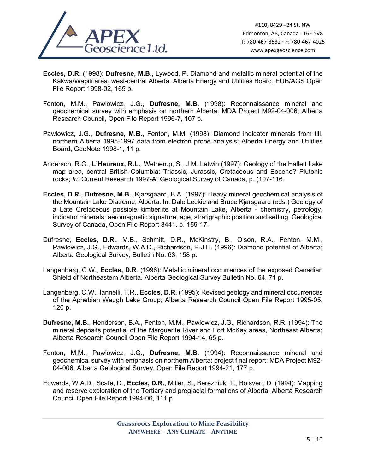

- **Eccles, D.R.** (1998): **Dufresne, M.B.**, Lywood, P. Diamond and metallic mineral potential of the Kakwa/Wapiti area, west-central Alberta. Alberta Energy and Utilities Board, EUB/AGS Open File Report 1998-02, 165 p.
- Fenton, M.M., Pawlowicz, J.G., **Dufresne, M.B.** (1998): Reconnaissance mineral and geochemical survey with emphasis on northern Alberta; MDA Project M92-04-006; Alberta Research Council, Open File Report 1996-7, 107 p.
- Pawlowicz, J.G., **Dufresne, M.B.**, Fenton, M.M. (1998): Diamond indicator minerals from till, northern Alberta 1995-1997 data from electron probe analysis; Alberta Energy and Utilities Board, GeoNote 1998-1, 11 p.
- Anderson, R.G., **L'Heureux, R.L.**, Wetherup, S., J.M. Letwin (1997): Geology of the Hallett Lake map area, central British Columbia: Triassic, Jurassic, Cretaceous and Eocene? Plutonic rocks; *In:* Current Research 1997-A; Geological Survey of Canada, p. (107-116.
- **Eccles, D.R.**, **Dufresne, M.B.**, Kjarsgaard, B.A. (1997): Heavy mineral geochemical analysis of the Mountain Lake Diatreme, Alberta. In: Dale Leckie and Bruce Kjarsgaard (eds.) Geology of a Late Cretaceous possible kimberlite at Mountain Lake, Alberta - chemistry, petrology, indicator minerals, aeromagnetic signature, age, stratigraphic position and setting; Geological Survey of Canada, Open File Report 3441. p. 159-17.
- Dufresne, **Eccles, D.R.**, M.B., Schmitt, D.R., McKinstry, B., Olson, R.A., Fenton, M.M., Pawlowicz, J.G., Edwards, W.A.D., Richardson, R.J.H. (1996): Diamond potential of Alberta; Alberta Geological Survey, Bulletin No. 63, 158 p.
- Langenberg, C.W., **Eccles, D.R**. (1996): Metallic mineral occurrences of the exposed Canadian Shield of Northeastern Alberta. Alberta Geological Survey Bulletin No. 64, 71 p.
- Langenberg, C.W., Iannelli, T.R., **Eccles, D.R**. (1995): Revised geology and mineral occurrences of the Aphebian Waugh Lake Group; Alberta Research Council Open File Report 1995-05, 120 p.
- **Dufresne, M.B.**, Henderson, B.A., Fenton, M.M., Pawlowicz, J.G., Richardson, R.R. (1994): The mineral deposits potential of the Marguerite River and Fort McKay areas, Northeast Alberta; Alberta Research Council Open File Report 1994-14, 65 p.
- Fenton, M.M., Pawlowicz, J.G., **Dufresne, M.B.** (1994): Reconnaissance mineral and geochemical survey with emphasis on northern Alberta: project final report: MDA Project M92- 04-006; Alberta Geological Survey, Open File Report 1994-21, 177 p.
- Edwards, W.A.D., Scafe, D., **Eccles, D.R.**, Miller, S., Berezniuk, T., Boisvert, D. (1994): Mapping and reserve exploration of the Tertiary and preglacial formations of Alberta; Alberta Research Council Open File Report 1994-06, 111 p.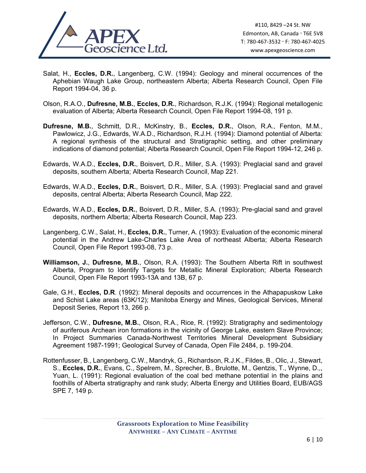

- Salat, H., **Eccles, D.R.**, Langenberg, C.W. (1994): Geology and mineral occurrences of the Aphebian Waugh Lake Group, northeastern Alberta; Alberta Research Council, Open File Report 1994-04, 36 p.
- Olson, R.A.O., **Dufresne, M.B.**, **Eccles, D.R.**, Richardson, R.J.K. (1994): Regional metallogenic evaluation of Alberta; Alberta Research Council, Open File Report 1994-08, 191 p.
- **Dufresne, M.B.**, Schmitt, D.R., McKinstry, B., **Eccles, D.R.**, Olson, R.A., Fenton, M.M., Pawlowicz, J.G., Edwards, W.A.D., Richardson, R.J.H. (1994): Diamond potential of Alberta: A regional synthesis of the structural and Stratigraphic setting, and other preliminary indications of diamond potential; Alberta Research Council, Open File Report 1994-12, 246 p.
- Edwards, W.A.D., **Eccles, D.R.**, Boisvert, D.R., Miller, S.A. (1993): Preglacial sand and gravel deposits, southern Alberta; Alberta Research Council, Map 221.
- Edwards, W.A.D., **Eccles, D.R.**, Boisvert, D.R., Miller, S.A. (1993): Preglacial sand and gravel deposits, central Alberta; Alberta Research Council, Map 222.
- Edwards, W.A.D., **Eccles, D.R.**, Boisvert, D.R., Miller, S.A. (1993): Pre-glacial sand and gravel deposits, northern Alberta; Alberta Research Council, Map 223.
- Langenberg, C.W., Salat, H., **Eccles, D.R.**, Turner, A. (1993): Evaluation of the economic mineral potential in the Andrew Lake-Charles Lake Area of northeast Alberta; Alberta Research Council, Open File Report 1993-08, 73 p.
- **Williamson, J.**, **Dufresne, M.B.**, Olson, R.A. (1993): The Southern Alberta Rift in southwest Alberta, Program to Identify Targets for Metallic Mineral Exploration; Alberta Research Council, Open File Report 1993-13A and 13B, 67 p.
- Gale, G.H., **Eccles, D.R**. (1992): Mineral deposits and occurrences in the Athapapuskow Lake and Schist Lake areas (63K/12); Manitoba Energy and Mines, Geological Services, Mineral Deposit Series, Report 13, 266 p.
- Jefferson, C.W., **Dufresne, M.B.**, Olson, R.A., Rice, R. (1992): Stratigraphy and sedimentology of auriferous Archean iron formations in the vicinity of George Lake, eastern Slave Province; In Project Summaries Canada-Northwest Territories Mineral Development Subsidiary Agreement 1987-1991; Geological Survey of Canada, Open File 2484, p. 199-204.
- Rottenfusser, B., Langenberg, C.W., Mandryk, G., Richardson, R.J.K., Fildes, B., Olic, J., Stewart, S., **Eccles, D.R.**, Evans, C., Spelrem, M., Sprecher, B., Brulotte, M., Gentzis, T., Wynne, D.,, Yuan, L. (1991): Regional evaluation of the coal bed methane potential in the plains and foothills of Alberta stratigraphy and rank study; Alberta Energy and Utilities Board, EUB/AGS SPE 7, 149 p.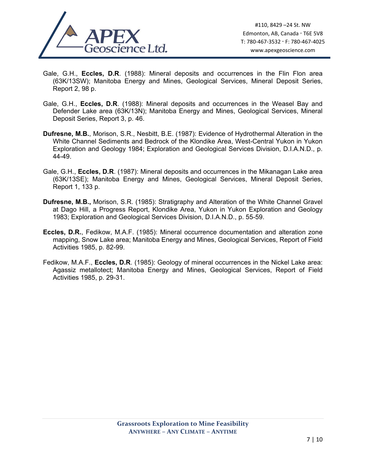

- Gale, G.H., **Eccles, D.R**. (1988): Mineral deposits and occurrences in the Flin Flon area (63K/13SW); Manitoba Energy and Mines, Geological Services, Mineral Deposit Series, Report 2, 98 p.
- Gale, G.H., **Eccles, D.R**. (1988): Mineral deposits and occurrences in the Weasel Bay and Defender Lake area (63K/13N); Manitoba Energy and Mines, Geological Services, Mineral Deposit Series, Report 3, p. 46.
- **Dufresne, M.B.**, Morison, S.R., Nesbitt, B.E. (1987): Evidence of Hydrothermal Alteration in the White Channel Sediments and Bedrock of the Klondike Area, West-Central Yukon in Yukon Exploration and Geology 1984; Exploration and Geological Services Division, D.I.A.N.D., p. 44-49.
- Gale, G.H., **Eccles, D.R**. (1987): Mineral deposits and occurrences in the Mikanagan Lake area (63K/13SE); Manitoba Energy and Mines, Geological Services, Mineral Deposit Series, Report 1, 133 p.
- **Dufresne, M.B.,** Morison, S.R. (1985): Stratigraphy and Alteration of the White Channel Gravel at Dago Hill, a Progress Report, Klondike Area, Yukon in Yukon Exploration and Geology 1983; Exploration and Geological Services Division, D.I.A.N.D., p. 55-59.
- **Eccles, D.R.**, Fedikow, M.A.F. (1985): Mineral occurrence documentation and alteration zone mapping, Snow Lake area; Manitoba Energy and Mines, Geological Services, Report of Field Activities 1985, p. 82-99.
- Fedikow, M.A.F., **Eccles, D.R**. (1985): Geology of mineral occurrences in the Nickel Lake area: Agassiz metallotect; Manitoba Energy and Mines, Geological Services, Report of Field Activities 1985, p. 29-31.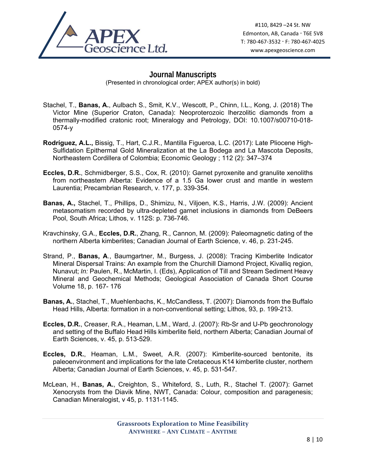

## **Journal Manuscripts**

(Presented in chronological order; APEX author(s) in bold)

- Stachel, T., **Banas, A.**, Aulbach S., Smit, K.V., Wescott, P., Chinn, I.L., Kong, J. (2018) The Victor Mine (Superior Craton, Canada): Neoproterozoic lherzolitic diamonds from a thermally-modified cratonic root; Mineralogy and Petrology, DOI: 10.1007/s00710-018- 0574-y
- **Rodríguez, A.L.,** Bissig, T., Hart, C.J.R., Mantilla Figueroa, L.C. (2017): Late Pliocene High-Sulfidation Epithermal Gold Mineralization at the La Bodega and La Mascota Deposits, Northeastern Cordillera of Colombia; Economic Geology ; 112 (2): 347–374
- **Eccles, D.R.**, Schmidberger, S.S., Cox, R. (2010): Garnet pyroxenite and granulite xenoliths from northeastern Alberta: Evidence of a 1.5 Ga lower crust and mantle in western Laurentia; Precambrian Research, v. 177, p. 339-354.
- **Banas, A.,** Stachel, T., Phillips, D., Shimizu, N., Viljoen, K.S., Harris, J.W. (2009): Ancient metasomatism recorded by ultra-depleted garnet inclusions in diamonds from DeBeers Pool, South Africa; Lithos, v. 112S: p. 736-746.
- Kravchinsky, G.A., **Eccles, D.R.**, Zhang, R., Cannon, M. (2009): Paleomagnetic dating of the northern Alberta kimberlites; Canadian Journal of Earth Science, v. 46, p. 231-245.
- Strand, P., **Banas, A**., Baumgartner, M., Burgess, J. (2008): Tracing Kimberlite Indicator Mineral Dispersal Trains: An example from the Churchill Diamond Project, Kivalliq region, Nunavut; *In:* Paulen, R., McMartin, I. (Eds), Application of Till and Stream Sediment Heavy Mineral and Geochemical Methods; Geological Association of Canada Short Course Volume 18, p. 167- 176
- **Banas, A.**, Stachel, T., Muehlenbachs, K., McCandless, T. (2007): Diamonds from the Buffalo Head Hills, Alberta: formation in a non-conventional setting; Lithos, 93, p. 199-213.
- **Eccles, D.R.**, Creaser, R.A., Heaman, L.M., Ward, J. (2007): Rb-Sr and U-Pb geochronology and setting of the Buffalo Head Hills kimberlite field, northern Alberta; Canadian Journal of Earth Sciences, v. 45, p. 513-529.
- **Eccles, D.R.**, Heaman, L.M., Sweet, A.R. (2007): Kimberlite-sourced bentonite, its paleoenvironment and implications for the late Cretaceous K14 kimberlite cluster, northern Alberta; Canadian Journal of Earth Sciences, v. 45, p. 531-547.
- McLean, H., **Banas, A.**, Creighton, S., Whiteford, S., Luth, R., Stachel T. (2007): Garnet Xenocrysts from the Diavik Mine, NWT, Canada: Colour, composition and paragenesis; Canadian Mineralogist, v 45, p. 1131-1145.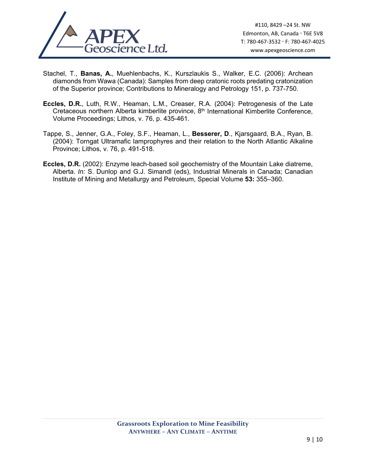

- Stachel, T., **Banas, A.**, Muehlenbachs, K., Kurszlaukis S., Walker, E.C. (2006): Archean diamonds from Wawa (Canada): Samples from deep cratonic roots predating cratonization of the Superior province; Contributions to Mineralogy and Petrology 151, p. 737-750.
- **Eccles, D.R.**, Luth, R.W., Heaman, L.M., Creaser, R.A. (2004): Petrogenesis of the Late Cretaceous northern Alberta kimberlite province, 8<sup>th</sup> International Kimberlite Conference, Volume Proceedings; Lithos, v. 76, p. 435-461.
- Tappe, S., Jenner, G.A., Foley, S.F., Heaman, L., **Besserer, D**., Kjarsgaard, B.A., Ryan, B. (2004): Torngat Ultramafic lamprophyres and their relation to the North Atlantic Alkaline Province; Lithos, v. 76, p. 491-518.
- **Eccles, D.R.** (2002): Enzyme leach-based soil geochemistry of the Mountain Lake diatreme, Alberta. *In:* S. Dunlop and G.J. Simandl (eds), Industrial Minerals in Canada; Canadian Institute of Mining and Metallurgy and Petroleum, Special Volume **53:** 355–360.